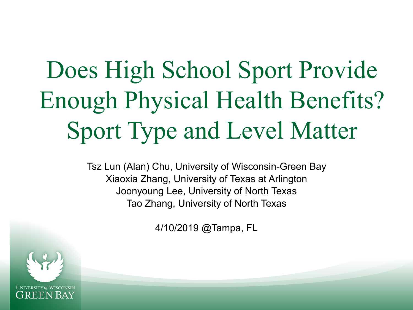## Does High School Sport Provide Enough Physical Health Benefits? Sport Type and Level Matter

Tsz Lun (Alan) Chu, University of Wisconsin-Green Bay Xiaoxia Zhang, University of Texas at Arlington Joonyoung Lee, University of North Texas Tao Zhang, University of North Texas

4/10/2019 @Tampa, FL

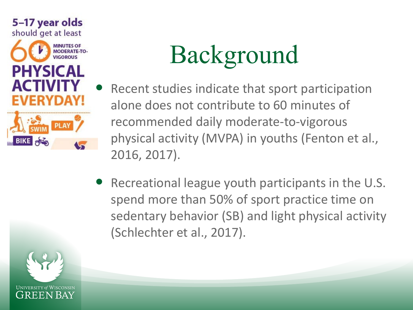

# Background

- Recent studies indicate that sport participation alone does not contribute to 60 minutes of recommended daily moderate-to-vigorous physical activity (MVPA) in youths (Fenton et al., 2016, 2017).
- Recreational league youth participants in the U.S. spend more than 50% of sport practice time on sedentary behavior (SB) and light physical activity (Schlechter et al., 2017).

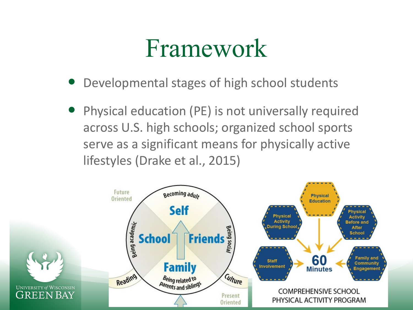### Framework

- Developmental stages of high school students
- Physical education (PE) is not universally required across U.S. high schools; organized school sports serve as a significant means for physically active lifestyles (Drake et al., 2015)

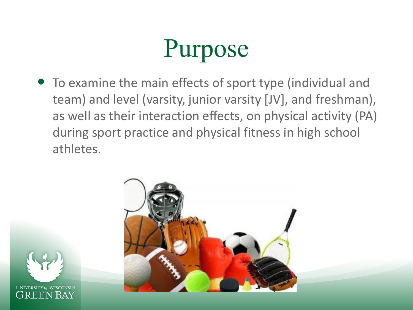### Purpose

 To examine the main effects of sport type (individual and team) and level (varsity, junior varsity [JV], and freshman), as well as their interaction effects, on physical activity (PA) during sport practice and physical fitness in high school athletes.



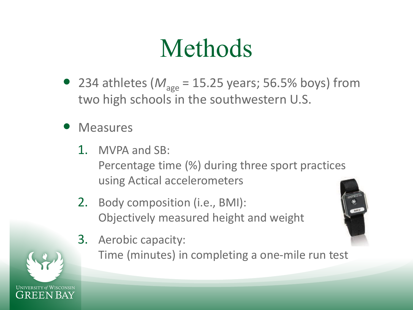### Methods

- 234 athletes ( $M_{\text{age}}$  = 15.25 years; 56.5% boys) from two high schools in the southwestern U.S.
- **Measures** 
	- 1. MVPA and SB: Percentage time (%) during three sport practices using Actical accelerometers
	- 2. Body composition (i.e., BMI): Objectively measured height and weight
	- 3. Aerobic capacity:

Time (minutes) in completing a one-mile run test



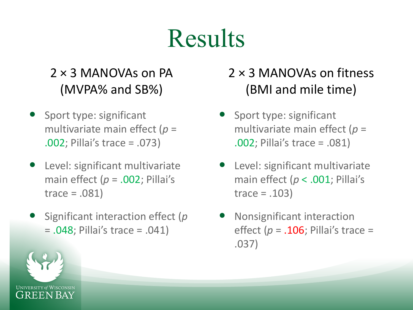### **Results**

### $2 \times 3$  MANOVAs on PA (MVPA% and SB%)

- Sport type: significant multivariate main effect (*p* = .002; Pillai's trace = .073)
- Level: significant multivariate main effect (*p* = .002; Pillai's trace = .081)
- Significant interaction effect (*p* = .048; Pillai's trace = .041)

### 2 × 3 MANOVAs on fitness (BMI and mile time)

- Sport type: significant multivariate main effect (*p* = .002; Pillai's trace = .081)
- Level: significant multivariate main effect (*p* < .001; Pillai's trace  $= .103$ )
- Nonsignificant interaction effect  $(p = .106;$  Pillai's trace = .037)

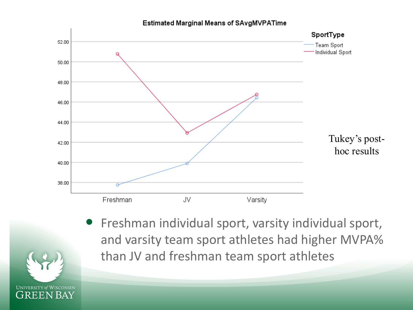#### Estimated Marginal Means of SAvgMVPATime



 Freshman individual sport, varsity individual sport, and varsity team sport athletes had higher MVPA% than JV and freshman team sport athletes

**UNIVERSITY of WISCONSIN GREEN BAY**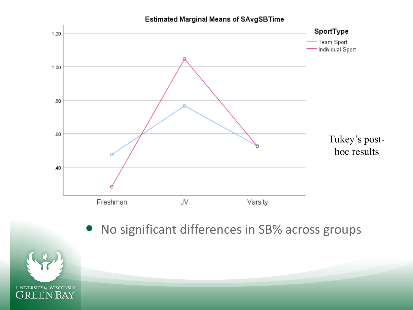

### No significant differences in SB% across groups

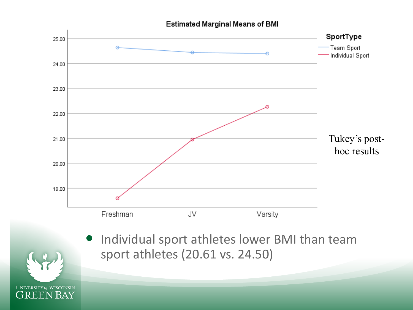#### **Estimated Marginal Means of BMI**



**GREEN BAY**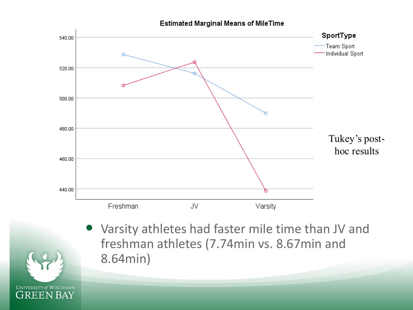



 Varsity athletes had faster mile time than JV and freshman athletes (7.74min vs. 8.67min and 8.64min)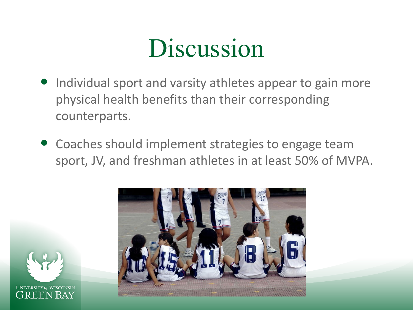### Discussion

- Individual sport and varsity athletes appear to gain more physical health benefits than their corresponding counterparts.
- Coaches should implement strategies to engage team sport, JV, and freshman athletes in at least 50% of MVPA.



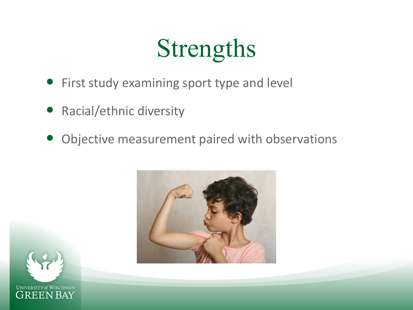## Strengths

- First study examining sport type and level
- Racial/ethnic diversity
- Objective measurement paired with observations



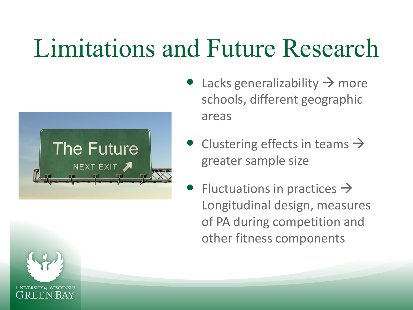### Limitations and Future Research



- Lacks generalizability  $\rightarrow$  more schools, different geographic areas
- Clustering effects in teams  $\rightarrow$ greater sample size
- Fluctuations in practices  $\rightarrow$ Longitudinal design, measures of PA during competition and other fitness components